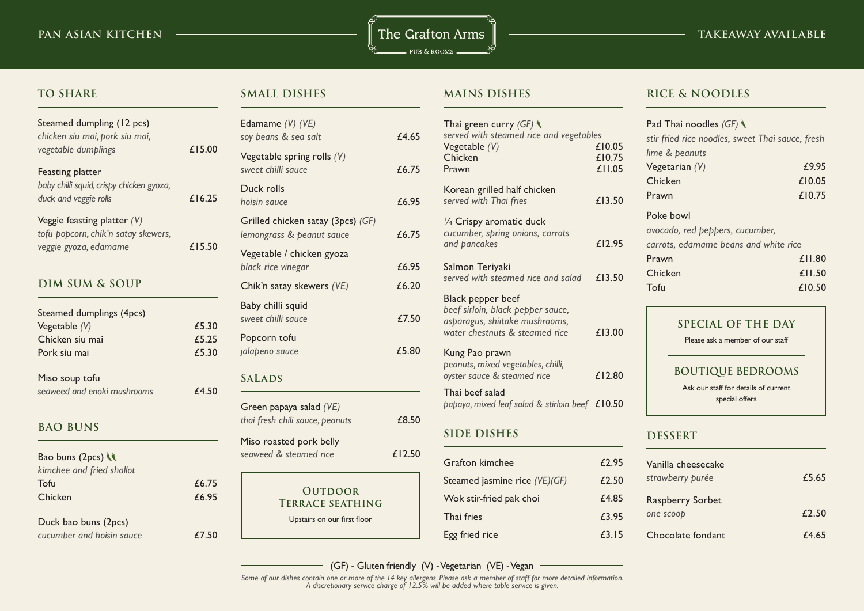**PAN ASIAN KITCHEN TAKEAWAY AVAILABLE**  $=$  PUB & ROOMS  $=$ 

**TO SHARE**

# Steamed dumpling (12 pcs) *chicken siu mai, pork siu mai, vegetable dumplings* £15.00 Feasting platter *baby chilli squid, crispy chicken gyoza,*  duck and veggie rolls **£16.25** Veggie feasting platter *(V)*

*tofu popcorn, chik'n satay skewers, veggie gyoza, edamame* £15.50

# **DIM SUM & SOUP**

| Steamed dumplings (4pcs)    |       |
|-----------------------------|-------|
| Vegetable $(V)$             | £5.30 |
| Chicken siu mai             | £5.25 |
| Pork siu mai                | £5.30 |
| Miso soup tofu              |       |
| seaweed and enoki mushrooms | £4.50 |

#### **BAO BUNS**

| Bao buns (2pcs)           |
|---------------------------|
| kimchee and fried shallot |
| Tofu                      |
| Chicken                   |
|                           |
| Duck bao buns (2pcs)      |

*cucumber and hoisin sauce* £7.50

 $£6.75$  $£6.95$ 

### **SMALL DISHES**

| Edamame (V) (VE)<br>soy beans & sea salt                       | £4.65  |
|----------------------------------------------------------------|--------|
| Vegetable spring rolls $(V)$<br>sweet chilli sauce             | £6.75  |
| Duck rolls<br>hoisin sauce                                     | £6.95  |
| Grilled chicken satay (3pcs) (GF)<br>lemongrass & peanut sauce | £6.75  |
| Vegetable / chicken gyoza<br>black rice vinegar                | £6.95  |
| Chik'n satay skewers (VE)                                      | £6.20  |
| Baby chilli squid<br>sweet chilli sauce                        | £7.50  |
| Popcorn tofu<br>jalapeno sauce                                 | £5.80  |
| <b>SALADS</b>                                                  |        |
| Green papaya salad (VE)<br>thai fresh chili sauce, peanuts     | £8.50  |
| Miso roasted pork belly<br>seaweed & steamed rice              | £12.50 |
| <b>OUTDOOR</b><br><b>TERRACE SEATHING</b>                      |        |
| Upstairs on our first floor                                    |        |

#### **MAINS DISHES**

| Thai green curry $(GF)$<br>served with steamed rice and vegetables<br>Vegetable $(V)$<br>Chicken<br>Prawn                  | £10.05<br>£10.75<br>£11.05 |
|----------------------------------------------------------------------------------------------------------------------------|----------------------------|
| Korean grilled half chicken<br>served with Thai fries                                                                      | £13.50                     |
| 1/4 Crispy aromatic duck<br>cucumber, spring onions, carrots<br>and pancakes                                               | £12.95                     |
| Salmon Teriyaki<br>served with steamed rice and salad                                                                      | £13.50                     |
| Black pepper beef<br>beef sirloin, black pepper sauce,<br>asparagus, shiitake mushrooms,<br>water chestnuts & steamed rice | £13.00                     |
| Kung Pao prawn<br>peanuts, mixed vegetables, chilli,<br>oyster sauce & steamed rice                                        | £12.80                     |
| Thai beef salad<br>papaya, mixed leaf salad & stirloin beef £10.50                                                         |                            |

# **SIDE DISHES**

| Grafton kimchee               | £2.95 |
|-------------------------------|-------|
| Steamed jasmine rice (VE)(GF) | £2.50 |
| Wok stir-fried pak choi       | £4.85 |
| Thai fries                    | £3.95 |
| Egg fried rice                | £3.15 |

#### **RICE & NOODLES**

| Pad Thai noodles $(GF)$                          |        |  |
|--------------------------------------------------|--------|--|
| stir fried rice noodles, sweet Thai sauce, fresh |        |  |
| lime & peanuts                                   |        |  |
| Vegetarian $(V)$                                 | £9.95  |  |
| Chicken                                          | £10.05 |  |
| Prawn                                            | £10.75 |  |
| Poke bowl                                        |        |  |
| avocado, red peppers, cucumber,                  |        |  |
| carrots, edamame beans and white rice            |        |  |
| Prawn                                            | £11.80 |  |
| Chicken                                          | £11.50 |  |
| Tofu                                             | £10.50 |  |
| SPECIAL OF THE DAY                               |        |  |

Please ask a member of our staff

#### **BOUTIQUE BEDROOMS**

Ask our staff for details of current special offers

#### **DESSERT**

| Vanilla cheesecake<br>strawberry purée | £5.65 |
|----------------------------------------|-------|
| <b>Raspberry Sorbet</b><br>one scoop   | f250  |
| Chocolate fondant                      | £4.65 |

(GF) - Gluten friendly (V) - Vegetarian (VE) - Vegan

*Some of our dishes contain one or more of the 14 key allergens. Please ask a member of staff for more detailed information. A discretionary service charge of 12.5% will be added where table service is given.*